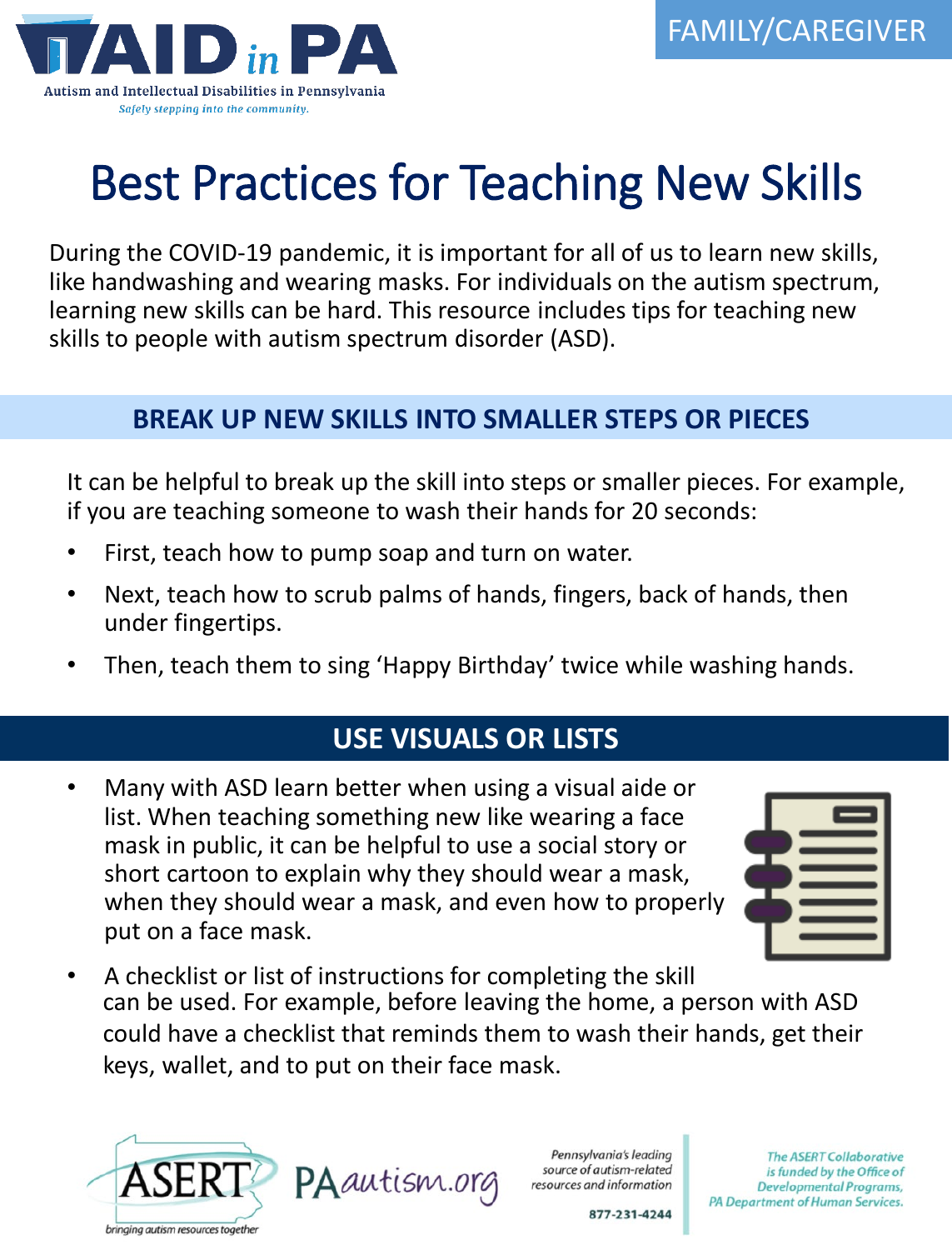

# Best Practices for Teaching New Skills

During the COVID-19 pandemic, it is important for all of us to learn new skills, like handwashing and wearing masks. For individuals on the autism spectrum, learning new skills can be hard. This resource includes tips for teaching new skills to people with autism spectrum disorder (ASD).

#### **BREAK UP NEW SKILLS INTO SMALLER STEPS OR PIECES**

It can be helpful to break up the skill into steps or smaller pieces. For example, if you are teaching someone to wash their hands for 20 seconds:

- First, teach how to pump soap and turn on water.
- **HEADER**  $C^2$ • Next, teach how to scrub palms of hands, fingers, back of hands, then under fingertips.
- Then, teach them to sing 'Happy Birthday' twice while washing hands.

## **USE VISUALS OR LISTS**

• Many with ASD learn better when using a visual aide or list. When teaching something new like wearing a face mask in public, it can be helpful to use a social story or short cartoon to explain why they should wear a mask, when they should wear a mask, and even how to properly put on a face mask.



• A checklist or list of instructions for completing the skill can be used. For example, before leaving the home, a person with ASD could have a checklist that reminds them to wash their hands, get their keys, wallet, and to put on their face mask.



Pennsylvania's leading source of autism-related resources and information

**The ASERT Collaborative** is funded by the Office of Developmental Programs, PA Department of Human Services.

877-231-4244